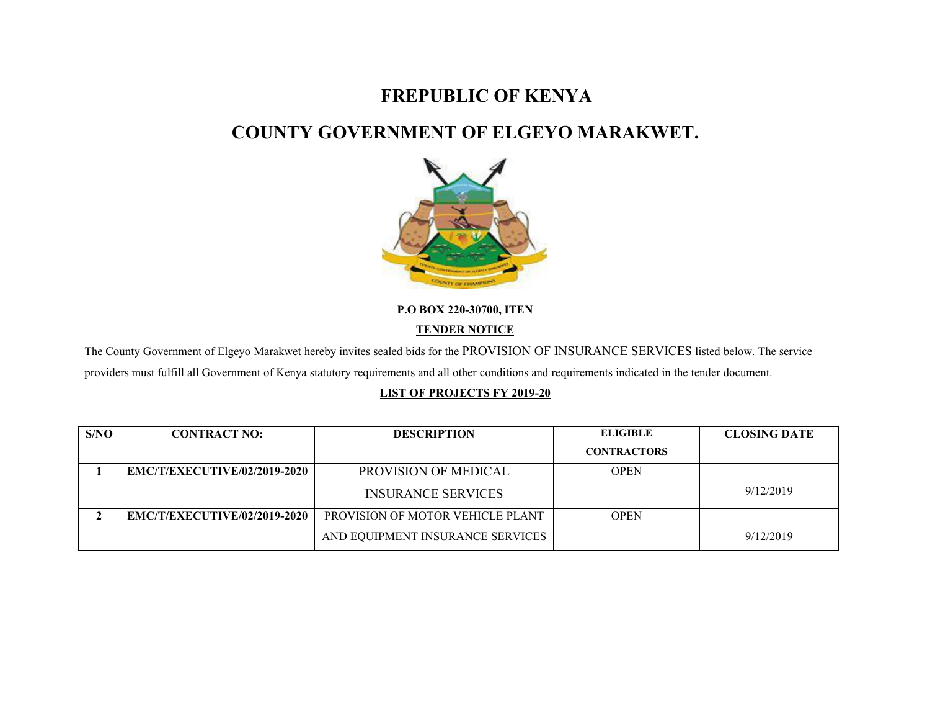# **FREPUBLIC OF KENYA**

# **COUNTY GOVERNMENT OF ELGEYO MARAKWET.**



**P.O BOX 220-30700, ITEN**

### **TENDER NOTICE**

The County Government of Elgeyo Marakwet hereby invites sealed bids for the PROVISION OF INSURANCE SERVICES listed below. The service providers must fulfill all Government of Kenya statutory requirements and all other conditions and requirements indicated in the tender document.

### **LIST OF PROJECTS FY 2019-20**

| S/NO | <b>CONTRACT NO:</b>                 | <b>DESCRIPTION</b>               | <b>ELIGIBLE</b>    | <b>CLOSING DATE</b> |
|------|-------------------------------------|----------------------------------|--------------------|---------------------|
|      |                                     |                                  | <b>CONTRACTORS</b> |                     |
|      | <b>EMC/T/EXECUTIVE/02/2019-2020</b> | <b>PROVISION OF MEDICAL</b>      | <b>OPEN</b>        |                     |
|      |                                     | <b>INSURANCE SERVICES</b>        |                    | 9/12/2019           |
|      | EMC/T/EXECUTIVE/02/2019-2020        | PROVISION OF MOTOR VEHICLE PLANT | <b>OPEN</b>        |                     |
|      |                                     | AND EQUIPMENT INSURANCE SERVICES |                    | 9/12/2019           |